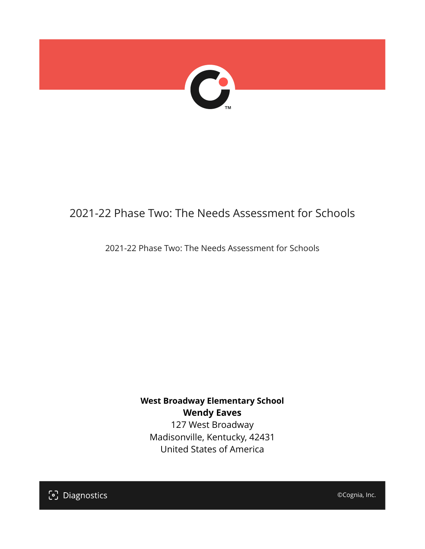

## 2021-22 Phase Two: The Needs Assessment for Schools

2021-22 Phase Two: The Needs Assessment for Schools

**West Broadway Elementary School Wendy Eaves**

127 West Broadway Madisonville, Kentucky, 42431 United States of America

[၁] Diagnostics

©Cognia, Inc.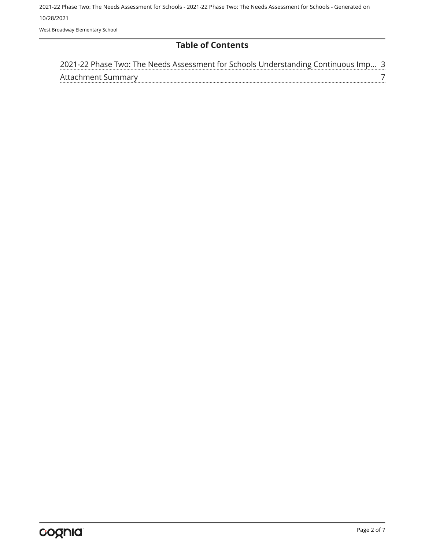2021-22 Phase Two: The Needs Assessment for Schools - 2021-22 Phase Two: The Needs Assessment for Schools - Generated on 10/28/2021 West Broadway Elementary School

**Table of Contents**

| 2021-22 Phase Two: The Needs Assessment for Schools Understanding Continuous Imp 3 |  |
|------------------------------------------------------------------------------------|--|
| Attachment Summary                                                                 |  |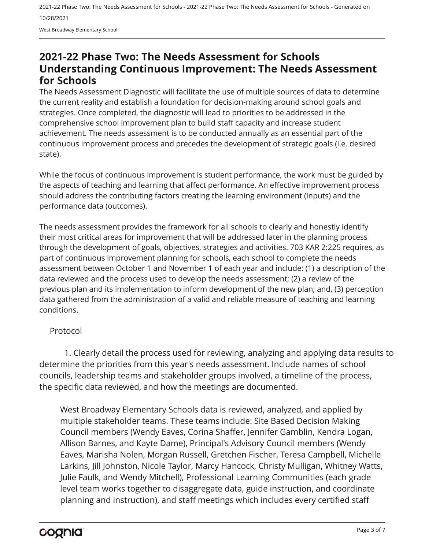### <span id="page-2-0"></span>**2021-22 Phase Two: The Needs Assessment for Schools Understanding Continuous Improvement: The Needs Assessment for Schools**

The Needs Assessment Diagnostic will facilitate the use of multiple sources of data to determine the current reality and establish a foundation for decision-making around school goals and strategies. Once completed, the diagnostic will lead to priorities to be addressed in the comprehensive school improvement plan to build staff capacity and increase student achievement. The needs assessment is to be conducted annually as an essential part of the continuous improvement process and precedes the development of strategic goals (i.e. desired state).

While the focus of continuous improvement is student performance, the work must be guided by the aspects of teaching and learning that affect performance. An effective improvement process should address the contributing factors creating the learning environment (inputs) and the performance data (outcomes).

The needs assessment provides the framework for all schools to clearly and honestly identify their most critical areas for improvement that will be addressed later in the planning process through the development of goals, objectives, strategies and activities. 703 KAR 2:225 requires, as part of continuous improvement planning for schools, each school to complete the needs assessment between October 1 and November 1 of each year and include: (1) a description of the data reviewed and the process used to develop the needs assessment; (2) a review of the previous plan and its implementation to inform development of the new plan; and, (3) perception data gathered from the administration of a valid and reliable measure of teaching and learning conditions.

#### Protocol

1. Clearly detail the process used for reviewing, analyzing and applying data results to determine the priorities from this year's needs assessment. Include names of school councils, leadership teams and stakeholder groups involved, a timeline of the process, the specific data reviewed, and how the meetings are documented.

West Broadway Elementary Schools data is reviewed, analyzed, and applied by multiple stakeholder teams. These teams include: Site Based Decision Making Council members (Wendy Eaves, Corina Shaffer, Jennifer Gamblin, Kendra Logan, Allison Barnes, and Kayte Dame), Principal's Advisory Council members (Wendy Eaves, Marisha Nolen, Morgan Russell, Gretchen Fischer, Teresa Campbell, Michelle Larkins, Jill Johnston, Nicole Taylor, Marcy Hancock, Christy Mulligan, Whitney Watts, Julie Faulk, and Wendy Mitchell), Professional Learning Communities (each grade level team works together to disaggregate data, guide instruction, and coordinate planning and instruction), and staff meetings which includes every certified staff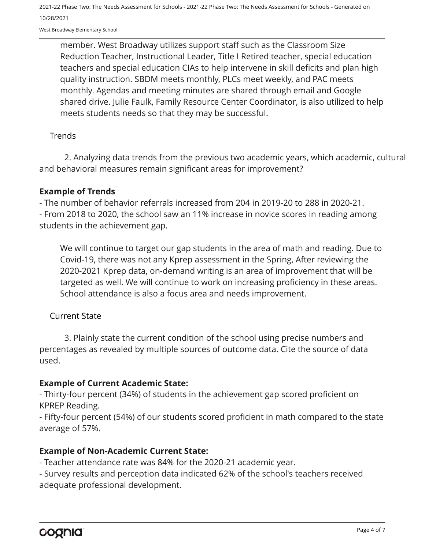West Broadway Elementary School

member. West Broadway utilizes support staff such as the Classroom Size Reduction Teacher, Instructional Leader, Title I Retired teacher, special education teachers and special education CIAs to help intervene in skill deficits and plan high quality instruction. SBDM meets monthly, PLCs meet weekly, and PAC meets monthly. Agendas and meeting minutes are shared through email and Google shared drive. Julie Faulk, Family Resource Center Coordinator, is also utilized to help meets students needs so that they may be successful.

#### **Trends**

2. Analyzing data trends from the previous two academic years, which academic, cultural and behavioral measures remain significant areas for improvement?

#### **Example of Trends**

- The number of behavior referrals increased from 204 in 2019-20 to 288 in 2020-21. - From 2018 to 2020, the school saw an 11% increase in novice scores in reading among students in the achievement gap.

We will continue to target our gap students in the area of math and reading. Due to Covid-19, there was not any Kprep assessment in the Spring, After reviewing the 2020-2021 Kprep data, on-demand writing is an area of improvement that will be targeted as well. We will continue to work on increasing proficiency in these areas. School attendance is also a focus area and needs improvement.

#### Current State

3. Plainly state the current condition of the school using precise numbers and percentages as revealed by multiple sources of outcome data. Cite the source of data used.

#### **Example of Current Academic State:**

- Thirty-four percent (34%) of students in the achievement gap scored proficient on KPREP Reading.

- Fifty-four percent (54%) of our students scored proficient in math compared to the state average of 57%.

#### **Example of Non-Academic Current State:**

- Teacher attendance rate was 84% for the 2020-21 academic year.

- Survey results and perception data indicated 62% of the school's teachers received adequate professional development.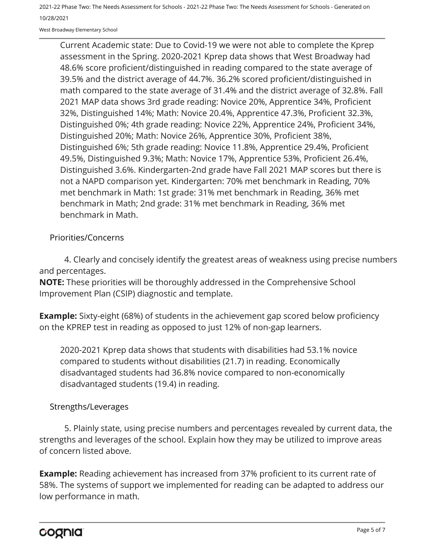West Broadway Elementary School

Current Academic state: Due to Covid-19 we were not able to complete the Kprep assessment in the Spring. 2020-2021 Kprep data shows that West Broadway had 48.6% score proficient/distinguished in reading compared to the state average of 39.5% and the district average of 44.7%. 36.2% scored proficient/distinguished in math compared to the state average of 31.4% and the district average of 32.8%. Fall 2021 MAP data shows 3rd grade reading: Novice 20%, Apprentice 34%, Proficient 32%, Distinguished 14%; Math: Novice 20.4%, Apprentice 47.3%, Proficient 32.3%, Distinguished 0%; 4th grade reading: Novice 22%, Apprentice 24%, Proficient 34%, Distinguished 20%; Math: Novice 26%, Apprentice 30%, Proficient 38%, Distinguished 6%; 5th grade reading: Novice 11.8%, Apprentice 29.4%, Proficient 49.5%, Distinguished 9.3%; Math: Novice 17%, Apprentice 53%, Proficient 26.4%, Distinguished 3.6%. Kindergarten-2nd grade have Fall 2021 MAP scores but there is not a NAPD comparison yet. Kindergarten: 70% met benchmark in Reading, 70% met benchmark in Math: 1st grade: 31% met benchmark in Reading, 36% met benchmark in Math; 2nd grade: 31% met benchmark in Reading, 36% met benchmark in Math.

Priorities/Concerns

4. Clearly and concisely identify the greatest areas of weakness using precise numbers and percentages.

**NOTE:** These priorities will be thoroughly addressed in the Comprehensive School Improvement Plan (CSIP) diagnostic and template.

**Example:** Sixty-eight (68%) of students in the achievement gap scored below proficiency on the KPREP test in reading as opposed to just 12% of non-gap learners.

2020-2021 Kprep data shows that students with disabilities had 53.1% novice compared to students without disabilities (21.7) in reading. Economically disadvantaged students had 36.8% novice compared to non-economically disadvantaged students (19.4) in reading.

#### Strengths/Leverages

5. Plainly state, using precise numbers and percentages revealed by current data, the strengths and leverages of the school. Explain how they may be utilized to improve areas of concern listed above.

**Example:** Reading achievement has increased from 37% proficient to its current rate of 58%. The systems of support we implemented for reading can be adapted to address our low performance in math.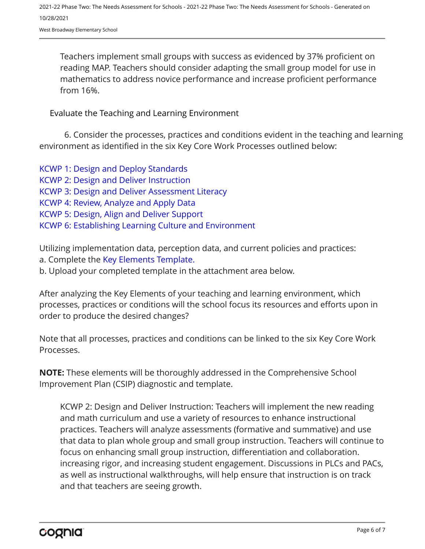West Broadway Elementary School

Teachers implement small groups with success as evidenced by 37% proficient on reading MAP. Teachers should consider adapting the small group model for use in mathematics to address novice performance and increase proficient performance from 16%.

Evaluate the Teaching and Learning Environment

6. Consider the processes, practices and conditions evident in the teaching and learning environment as identified in the six Key Core Work Processes outlined below:

[KCWP 1: Design and Deploy Standards](https://education.ky.gov/school/csip/Documents/KCWP%201%20Strategic%20Design%20and%20Deploy%20Standards.pdf) [KCWP 2: Design and Deliver Instruction](https://education.ky.gov/school/csip/Documents/KCWP%202%20Strategic%20Design%20and%20Deliver%20Instruction.pdf) [KCWP 3: Design and Deliver Assessment Literacy](https://education.ky.gov/school/csip/Documents/KCWP%203%20Strategic%20Design%20and%20Deliver%20Assessment%20Literacy.pdf) [KCWP 4: Review, Analyze and Apply Data](https://education.ky.gov/school/csip/Documents/KCWP%204%20Strategic%20Review%20Analyze%20and%20Apply%20Data.pdf) [KCWP 5: Design, Align and Deliver Support](https://education.ky.gov/school/csip/Documents/KCWP%205%20Strategic%20Design%20Align%20Deliver%20Support%20Processes.pdf) [KCWP 6: Establishing Learning Culture and Environment](https://education.ky.gov/school/csip/Documents/KCWP%206%20Strategic%20Establish%20Learning%20Culture%20and%20Environment.pdf)

Utilizing implementation data, perception data, and current policies and practices:

- a. Complete the [Key Elements Template.](https://education.ky.gov/school/csip/Documents/School%20Key%20Elements%20Template.docx)
- b. Upload your completed template in the attachment area below.

After analyzing the Key Elements of your teaching and learning environment, which processes, practices or conditions will the school focus its resources and efforts upon in order to produce the desired changes?

Note that all processes, practices and conditions can be linked to the six Key Core Work Processes.

**NOTE:** These elements will be thoroughly addressed in the Comprehensive School Improvement Plan (CSIP) diagnostic and template.

KCWP 2: Design and Deliver Instruction: Teachers will implement the new reading and math curriculum and use a variety of resources to enhance instructional practices. Teachers will analyze assessments (formative and summative) and use that data to plan whole group and small group instruction. Teachers will continue to focus on enhancing small group instruction, differentiation and collaboration. increasing rigor, and increasing student engagement. Discussions in PLCs and PACs, as well as instructional walkthroughs, will help ensure that instruction is on track and that teachers are seeing growth.